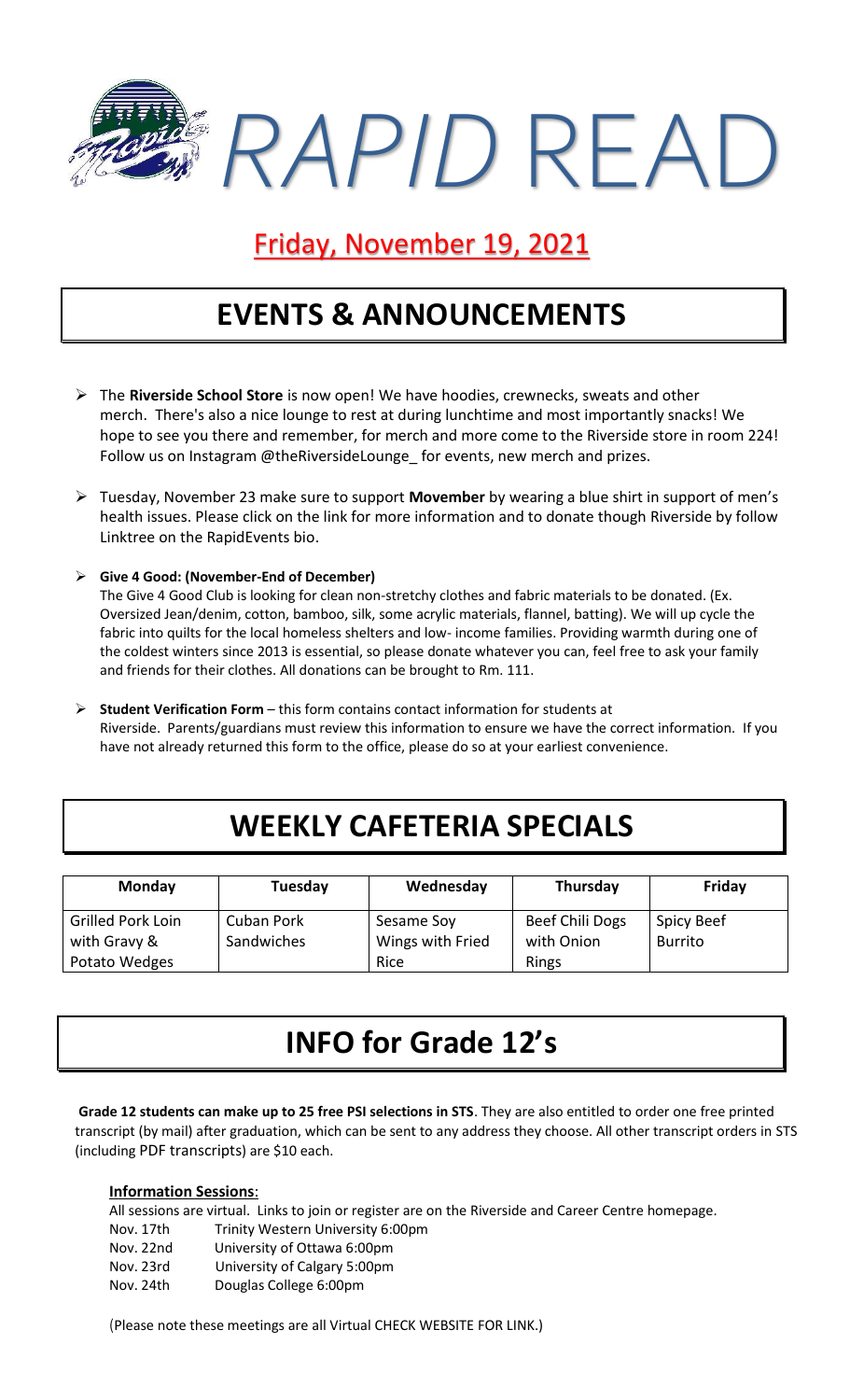

#### Friday, November 19, 2021

### **EVENTS & ANNOUNCEMENTS**

- ➢ The **Riverside School Store** is now open! We have hoodies, crewnecks, sweats and other merch. There's also a nice lounge to rest at during lunchtime and most importantly snacks! We hope to see you there and remember, for merch and more come to the Riverside store in room 224! Follow us on Instagram @theRiversideLounge for events, new merch and prizes.
- ➢ Tuesday, November 23 make sure to support **Movember** by wearing a blue shirt in support of men's health issues. Please click on the link for more information and to donate though Riverside by follow Linktree on the RapidEvents bio.
- ➢ **Give 4 Good: (November-End of December)** The Give 4 Good Club is looking for clean non-stretchy clothes and fabric materials to be donated. (Ex. Oversized Jean/denim, cotton, bamboo, silk, some acrylic materials, flannel, batting). We will up cycle the fabric into quilts for the local homeless shelters and low- income families. Providing warmth during one of the coldest winters since 2013 is essential, so please donate whatever you can, feel free to ask your family and friends for their clothes. All donations can be brought to Rm. 111.
- ➢ **Student Verification Form** this form contains contact information for students at Riverside. Parents/guardians must review this information to ensure we have the correct information. If you have not already returned this form to the office, please do so at your earliest convenience.

# **WEEKLY CAFETERIA SPECIALS**

| <b>Monday</b>            | Tuesday    | Wednesday        | Thursday        | Friday            |
|--------------------------|------------|------------------|-----------------|-------------------|
| <b>Grilled Pork Loin</b> | Cuban Pork | Sesame Soy       | Beef Chili Dogs | <b>Spicy Beef</b> |
| with Gravy &             | Sandwiches | Wings with Fried | with Onion      | <b>Burrito</b>    |
| Potato Wedges            |            | Rice             | Rings           |                   |

# **INFO for Grade 12's**

**Grade 12 students can make up to 25 free PSI selections in STS**. They are also entitled to order one free printed transcript (by mail) after graduation, which can be sent to any address they choose. All other transcript orders in STS (including [PDF transcripts](https://www2.gov.bc.ca/gov/content/education-training/k-12/support/transcripts-and-certificates/electronic-transcripts)) are \$10 each.

#### **Information Sessions**:

|           | All sessions are virtual. Links to join or register are on the Riverside and Career Centre homepage. |
|-----------|------------------------------------------------------------------------------------------------------|
| Nov. 17th | Trinity Western University 6:00pm                                                                    |
| Nov. 22nd | University of Ottawa 6:00pm                                                                          |
| Nov. 23rd | University of Calgary 5:00pm                                                                         |
| Nov. 24th | Douglas College 6:00pm                                                                               |

(Please note these meetings are all Virtual CHECK WEBSITE FOR LINK.)